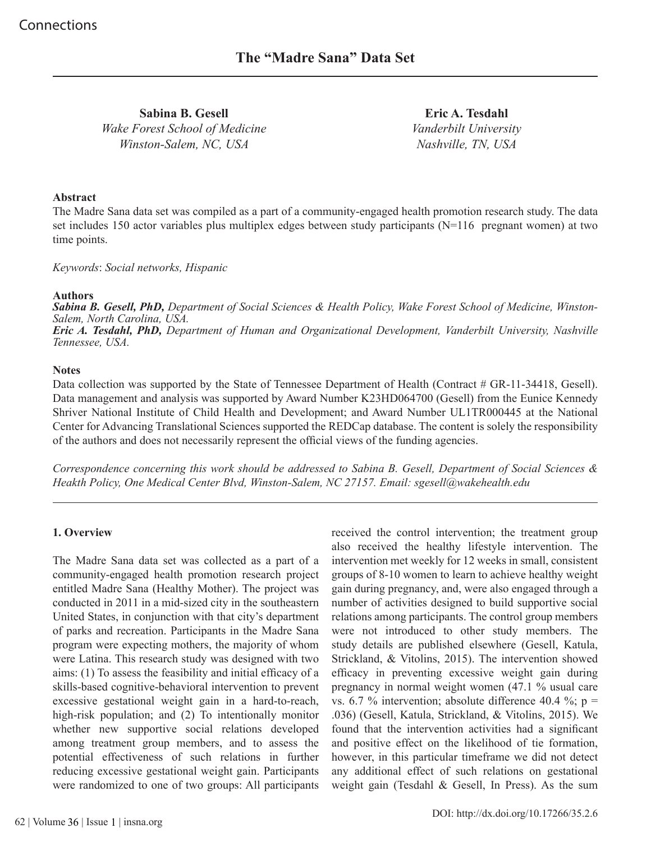**Sabina B. Gesell** *Wake Forest School of Medicine Winston-Salem, NC, USA*

**Eric A. Tesdahl** *Vanderbilt University Nashville, TN, USA*

#### **Abstract**

The Madre Sana data set was compiled as a part of a community-engaged health promotion research study. The data set includes 150 actor variables plus multiplex edges between study participants (N=116 pregnant women) at two time points.

*Keywords*: *Social networks, Hispanic*

#### **Authors**

*Sabina B. Gesell, PhD, Department of Social Sciences & Health Policy, Wake Forest School of Medicine, Winston-Salem, North Carolina, USA. Eric A. Tesdahl, PhD, Department of Human and Organizational Development, Vanderbilt University, Nashville Tennessee, USA.*

### **Notes**

Data collection was supported by the State of Tennessee Department of Health (Contract # GR-11-34418, Gesell). Data management and analysis was supported by Award Number K23HD064700 (Gesell) from the Eunice Kennedy Shriver National Institute of Child Health and Development; and Award Number UL1TR000445 at the National Center for Advancing Translational Sciences supported the REDCap database. The content is solely the responsibility of the authors and does not necessarily represent the official views of the funding agencies.

*Correspondence concerning this work should be addressed to Sabina B. Gesell, Department of Social Sciences & Heakth Policy, One Medical Center Blvd, Winston-Salem, NC 27157. Email: sgesell@wakehealth.edu*

## **1. Overview**

The Madre Sana data set was collected as a part of a community-engaged health promotion research project entitled Madre Sana (Healthy Mother). The project was conducted in 2011 in a mid-sized city in the southeastern United States, in conjunction with that city's department of parks and recreation. Participants in the Madre Sana program were expecting mothers, the majority of whom were Latina. This research study was designed with two aims: (1) To assess the feasibility and initial efficacy of a skills-based cognitive-behavioral intervention to prevent excessive gestational weight gain in a hard-to-reach, high-risk population; and (2) To intentionally monitor whether new supportive social relations developed among treatment group members, and to assess the potential effectiveness of such relations in further reducing excessive gestational weight gain. Participants were randomized to one of two groups: All participants

received the control intervention; the treatment group also received the healthy lifestyle intervention. The intervention met weekly for 12 weeks in small, consistent groups of 8-10 women to learn to achieve healthy weight gain during pregnancy, and, were also engaged through a number of activities designed to build supportive social relations among participants. The control group members were not introduced to other study members. The study details are published elsewhere (Gesell, Katula, Strickland, & Vitolins, 2015). The intervention showed efficacy in preventing excessive weight gain during pregnancy in normal weight women (47.1 % usual care vs. 6.7 % intervention; absolute difference 40.4 %;  $p =$ .036) (Gesell, Katula, Strickland, & Vitolins, 2015). We found that the intervention activities had a significant and positive effect on the likelihood of tie formation, however, in this particular timeframe we did not detect any additional effect of such relations on gestational weight gain (Tesdahl & Gesell, In Press). As the sum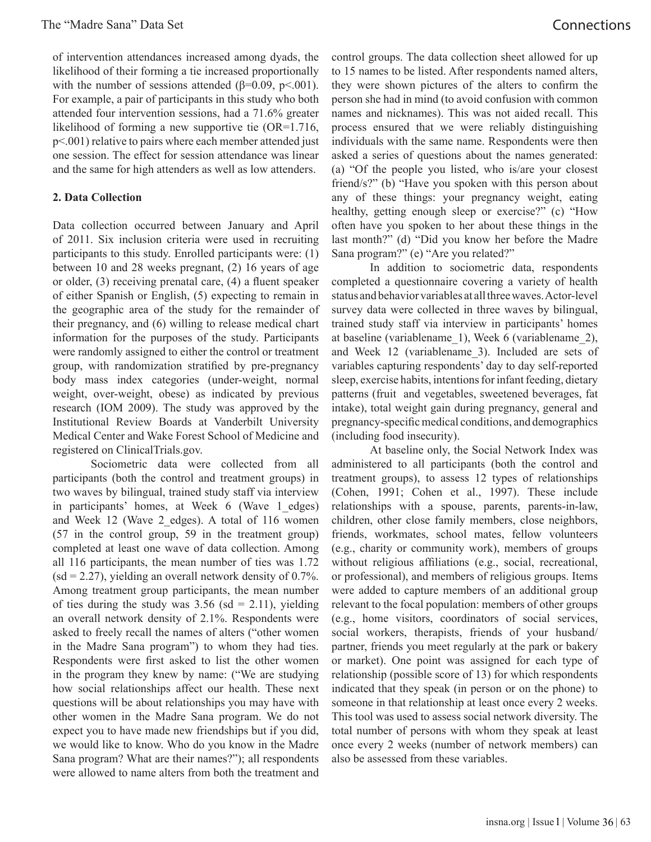of intervention attendances increased among dyads, the likelihood of their forming a tie increased proportionally with the number of sessions attended ( $\beta$ =0.09, p < 0.001). For example, a pair of participants in this study who both attended four intervention sessions, had a 71.6% greater likelihood of forming a new supportive tie (OR=1.716, p<.001) relative to pairs where each member attended just one session. The effect for session attendance was linear and the same for high attenders as well as low attenders.

#### **2. Data Collection**

Data collection occurred between January and April of 2011. Six inclusion criteria were used in recruiting participants to this study. Enrolled participants were: (1) between 10 and 28 weeks pregnant, (2) 16 years of age or older, (3) receiving prenatal care, (4) a fluent speaker of either Spanish or English, (5) expecting to remain in the geographic area of the study for the remainder of their pregnancy, and (6) willing to release medical chart information for the purposes of the study. Participants were randomly assigned to either the control or treatment group, with randomization stratified by pre-pregnancy body mass index categories (under-weight, normal weight, over-weight, obese) as indicated by previous research (IOM 2009). The study was approved by the Institutional Review Boards at Vanderbilt University Medical Center and Wake Forest School of Medicine and registered on ClinicalTrials.gov.

Sociometric data were collected from all participants (both the control and treatment groups) in two waves by bilingual, trained study staff via interview in participants' homes, at Week 6 (Wave 1\_edges) and Week 12 (Wave 2 edges). A total of 116 women (57 in the control group, 59 in the treatment group) completed at least one wave of data collection. Among all 116 participants, the mean number of ties was 1.72  $(sd = 2.27)$ , yielding an overall network density of 0.7%. Among treatment group participants, the mean number of ties during the study was  $3.56$  (sd = 2.11), yielding an overall network density of 2.1%. Respondents were asked to freely recall the names of alters ("other women in the Madre Sana program") to whom they had ties. Respondents were first asked to list the other women in the program they knew by name: ("We are studying how social relationships affect our health. These next questions will be about relationships you may have with other women in the Madre Sana program. We do not expect you to have made new friendships but if you did, we would like to know. Who do you know in the Madre Sana program? What are their names?"); all respondents were allowed to name alters from both the treatment and

control groups. The data collection sheet allowed for up to 15 names to be listed. After respondents named alters, they were shown pictures of the alters to confirm the person she had in mind (to avoid confusion with common names and nicknames). This was not aided recall. This process ensured that we were reliably distinguishing individuals with the same name. Respondents were then asked a series of questions about the names generated: (a) "Of the people you listed, who is/are your closest friend/s?" (b) "Have you spoken with this person about any of these things: your pregnancy weight, eating healthy, getting enough sleep or exercise?" (c) "How often have you spoken to her about these things in the last month?" (d) "Did you know her before the Madre Sana program?" (e) "Are you related?"

In addition to sociometric data, respondents completed a questionnaire covering a variety of health status and behavior variables at all three waves. Actor-level survey data were collected in three waves by bilingual, trained study staff via interview in participants' homes at baseline (variablename\_1), Week 6 (variablename\_2), and Week 12 (variablename\_3). Included are sets of variables capturing respondents' day to day self-reported sleep, exercise habits, intentions for infant feeding, dietary patterns (fruit and vegetables, sweetened beverages, fat intake), total weight gain during pregnancy, general and pregnancy-specific medical conditions, and demographics (including food insecurity).

At baseline only, the Social Network Index was administered to all participants (both the control and treatment groups), to assess 12 types of relationships (Cohen, 1991; Cohen et al., 1997). These include relationships with a spouse, parents, parents-in-law, children, other close family members, close neighbors, friends, workmates, school mates, fellow volunteers (e.g., charity or community work), members of groups without religious affiliations (e.g., social, recreational, or professional), and members of religious groups. Items were added to capture members of an additional group relevant to the focal population: members of other groups (e.g., home visitors, coordinators of social services, social workers, therapists, friends of your husband/ partner, friends you meet regularly at the park or bakery or market). One point was assigned for each type of relationship (possible score of 13) for which respondents indicated that they speak (in person or on the phone) to someone in that relationship at least once every 2 weeks. This tool was used to assess social network diversity. The total number of persons with whom they speak at least once every 2 weeks (number of network members) can also be assessed from these variables.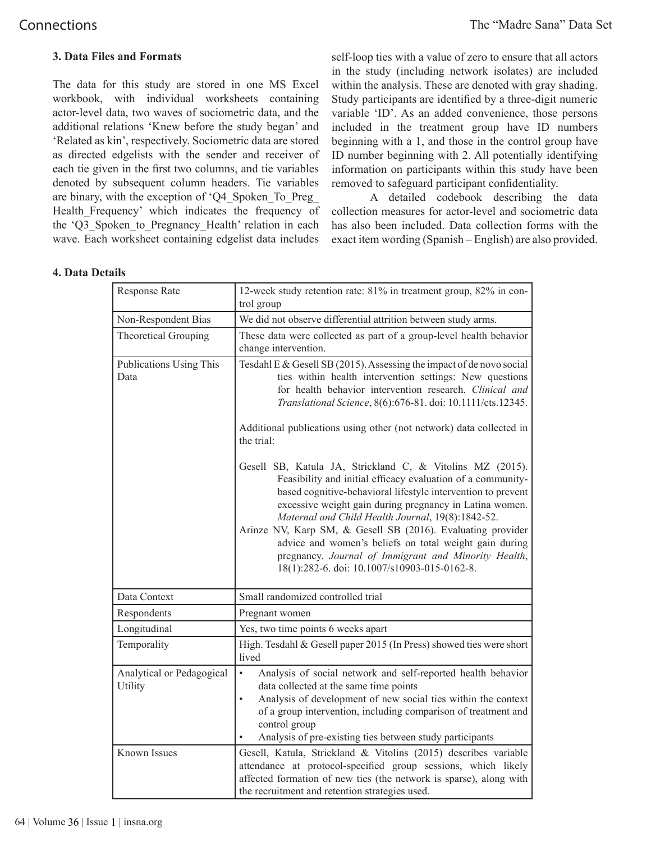## **3. Data Files and Formats**

The data for this study are stored in one MS Excel workbook, with individual worksheets containing actor-level data, two waves of sociometric data, and the additional relations 'Knew before the study began' and 'Related as kin', respectively. Sociometric data are stored as directed edgelists with the sender and receiver of each tie given in the first two columns, and tie variables denoted by subsequent column headers. Tie variables are binary, with the exception of 'Q4\_Spoken\_To\_Preg\_ Health Frequency' which indicates the frequency of the 'Q3 Spoken to Pregnancy Health' relation in each wave. Each worksheet containing edgelist data includes

self-loop ties with a value of zero to ensure that all actors in the study (including network isolates) are included within the analysis. These are denoted with gray shading. Study participants are identified by a three-digit numeric variable 'ID'. As an added convenience, those persons included in the treatment group have ID numbers beginning with a 1, and those in the control group have ID number beginning with 2. All potentially identifying information on participants within this study have been removed to safeguard participant confidentiality.

A detailed codebook describing the data collection measures for actor-level and sociometric data has also been included. Data collection forms with the exact item wording (Spanish – English) are also provided.

## **4. Data Details**

| Response Rate                        | 12-week study retention rate: 81% in treatment group, 82% in con-<br>trol group                                                                                                                                                                                                                                                                                                                                                                                                                                                           |
|--------------------------------------|-------------------------------------------------------------------------------------------------------------------------------------------------------------------------------------------------------------------------------------------------------------------------------------------------------------------------------------------------------------------------------------------------------------------------------------------------------------------------------------------------------------------------------------------|
| Non-Respondent Bias                  | We did not observe differential attrition between study arms.                                                                                                                                                                                                                                                                                                                                                                                                                                                                             |
| Theoretical Grouping                 | These data were collected as part of a group-level health behavior<br>change intervention.                                                                                                                                                                                                                                                                                                                                                                                                                                                |
| Publications Using This<br>Data      | Tesdahl E & Gesell SB (2015). Assessing the impact of de novo social<br>ties within health intervention settings: New questions<br>for health behavior intervention research. Clinical and<br>Translational Science, 8(6):676-81. doi: 10.1111/cts.12345.<br>Additional publications using other (not network) data collected in<br>the trial:                                                                                                                                                                                            |
|                                      | Gesell SB, Katula JA, Strickland C, & Vitolins MZ (2015).<br>Feasibility and initial efficacy evaluation of a community-<br>based cognitive-behavioral lifestyle intervention to prevent<br>excessive weight gain during pregnancy in Latina women.<br>Maternal and Child Health Journal, 19(8):1842-52.<br>Arinze NV, Karp SM, & Gesell SB (2016). Evaluating provider<br>advice and women's beliefs on total weight gain during<br>pregnancy. Journal of Immigrant and Minority Health,<br>18(1):282-6. doi: 10.1007/s10903-015-0162-8. |
| Data Context                         | Small randomized controlled trial                                                                                                                                                                                                                                                                                                                                                                                                                                                                                                         |
| Respondents                          | Pregnant women                                                                                                                                                                                                                                                                                                                                                                                                                                                                                                                            |
| Longitudinal                         | Yes, two time points 6 weeks apart                                                                                                                                                                                                                                                                                                                                                                                                                                                                                                        |
| Temporality                          | High. Tesdahl & Gesell paper 2015 (In Press) showed ties were short<br>lived                                                                                                                                                                                                                                                                                                                                                                                                                                                              |
| Analytical or Pedagogical<br>Utility | Analysis of social network and self-reported health behavior<br>$\bullet$<br>data collected at the same time points<br>Analysis of development of new social ties within the context<br>$\bullet$<br>of a group intervention, including comparison of treatment and<br>control group<br>Analysis of pre-existing ties between study participants                                                                                                                                                                                          |
| Known Issues                         | Gesell, Katula, Strickland & Vitolins (2015) describes variable<br>attendance at protocol-specified group sessions, which likely<br>affected formation of new ties (the network is sparse), along with<br>the recruitment and retention strategies used.                                                                                                                                                                                                                                                                                  |